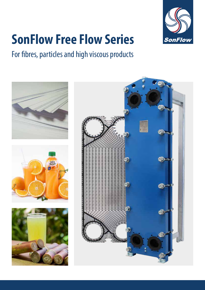

# **SonFlow Free Flow Series**

## For fibres, particles and high viscous products

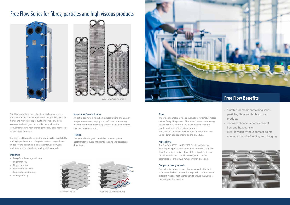SonFlow's new Free Flow plate heat exchanger series is ideally suited for difficult media containing solids, particles, fibres, and high viscous products. The Free Flow plates corrugation is designed for special tasks, where the conventional plate heat exchanger usually has a higher risk of fouling or clogging.

For the Free Flow plate series, the key focus lies in reliability and high performance. If the plate heat exchanger is not suited for the operating media, the intervals between maintenance and the risk of fouling are increased.

#### Industries:



*Free Flow Princip High and Low Plates Princip*

- Dairy/food/beverage industry
- Sugar industry
- Biogas industry
- Wastewater industry
- Pulp and paper industry
- Mining industry



#### An optimized flow distribution

An optimized flow distribution reduces fouling and uneven temperature zones, keeping the performance levels high over time without unnecessary energy losses, maintenance costs, or unplanned stops.

#### Features

Every detail is designed carefully to ensure optimal heat transfer, reduced maintenance costs and decreased downtime.



### Free Flow Series for fibres, particles and high viscous products



### Plates

The wide channels provide enough room for difficult media to flow freely. The pattern of horizontal waves maintaining no plate contact points in the flow direction, ensuring gentle treatment of the output product. The clearance between the heat transfer plates measures up to 12 mm gab depending on the plate type.

#### High and Low

The SonFlow SFF151 and SFF301 Free Flow Plate Heat Exchanger is specially designed to mix both viscosity and flow. The design consists of two different plate patterns: "SonFlow HIGH" and "SonFlow LOW", which can be assembled for either 12/6 mm or 9/9 mm plate gab.

### Designed to meet your needs

Our extensive range ensures that we can offer the best solution at the best price and, if required, combine several different types of heat exchangers to ensure that you get the best possible solution.

- Suitable for media containing solids, particles, fibres and high viscous products
- The wide channels enable efficient flow and heat transfer
- Free Flow gap without contact points minimize the risk of fouling and clogging